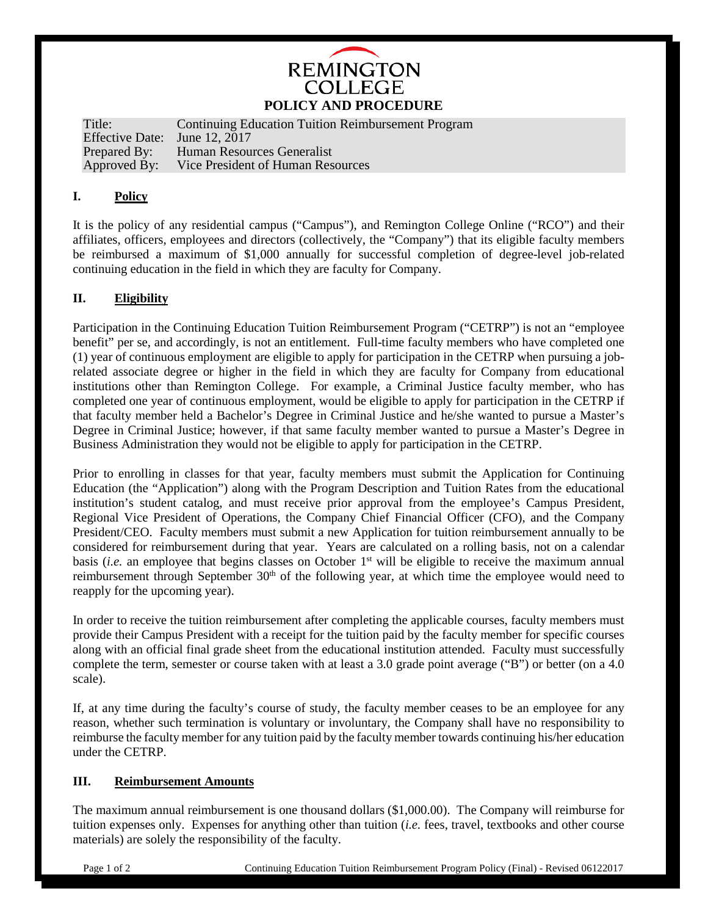## **REMINGTON COLLEGE POLICY AND PROCEDURE**

Title: Continuing Education Tuition Reimbursement Program Effective Date: June 12, 2017<br>Prepared By: Human Resou Prepared By: Human Resources Generalist<br>Approved By: Vice President of Human Res Vice President of Human Resources

#### **I. Policy**

It is the policy of any residential campus ("Campus"), and Remington College Online ("RCO") and their affiliates, officers, employees and directors (collectively, the "Company") that its eligible faculty members be reimbursed a maximum of \$1,000 annually for successful completion of degree-level job-related continuing education in the field in which they are faculty for Company.

#### **II. Eligibility**

Participation in the Continuing Education Tuition Reimbursement Program ("CETRP") is not an "employee benefit" per se, and accordingly, is not an entitlement. Full-time faculty members who have completed one (1) year of continuous employment are eligible to apply for participation in the CETRP when pursuing a jobrelated associate degree or higher in the field in which they are faculty for Company from educational institutions other than Remington College. For example, a Criminal Justice faculty member, who has completed one year of continuous employment, would be eligible to apply for participation in the CETRP if that faculty member held a Bachelor's Degree in Criminal Justice and he/she wanted to pursue a Master's Degree in Criminal Justice; however, if that same faculty member wanted to pursue a Master's Degree in Business Administration they would not be eligible to apply for participation in the CETRP.

Prior to enrolling in classes for that year, faculty members must submit the Application for Continuing Education (the "Application") along with the Program Description and Tuition Rates from the educational institution's student catalog, and must receive prior approval from the employee's Campus President, Regional Vice President of Operations, the Company Chief Financial Officer (CFO), and the Company President/CEO. Faculty members must submit a new Application for tuition reimbursement annually to be considered for reimbursement during that year. Years are calculated on a rolling basis, not on a calendar basis (*i.e.* an employee that begins classes on October 1st will be eligible to receive the maximum annual reimbursement through September  $30<sup>th</sup>$  of the following year, at which time the employee would need to reapply for the upcoming year).

In order to receive the tuition reimbursement after completing the applicable courses, faculty members must provide their Campus President with a receipt for the tuition paid by the faculty member for specific courses along with an official final grade sheet from the educational institution attended. Faculty must successfully complete the term, semester or course taken with at least a 3.0 grade point average ("B") or better (on a 4.0 scale).

If, at any time during the faculty's course of study, the faculty member ceases to be an employee for any reason, whether such termination is voluntary or involuntary, the Company shall have no responsibility to reimburse the faculty member for any tuition paid by the faculty member towards continuing his/her education under the CETRP.

#### **III. Reimbursement Amounts**

The maximum annual reimbursement is one thousand dollars (\$1,000.00). The Company will reimburse for tuition expenses only. Expenses for anything other than tuition (*i.e.* fees, travel, textbooks and other course materials) are solely the responsibility of the faculty.